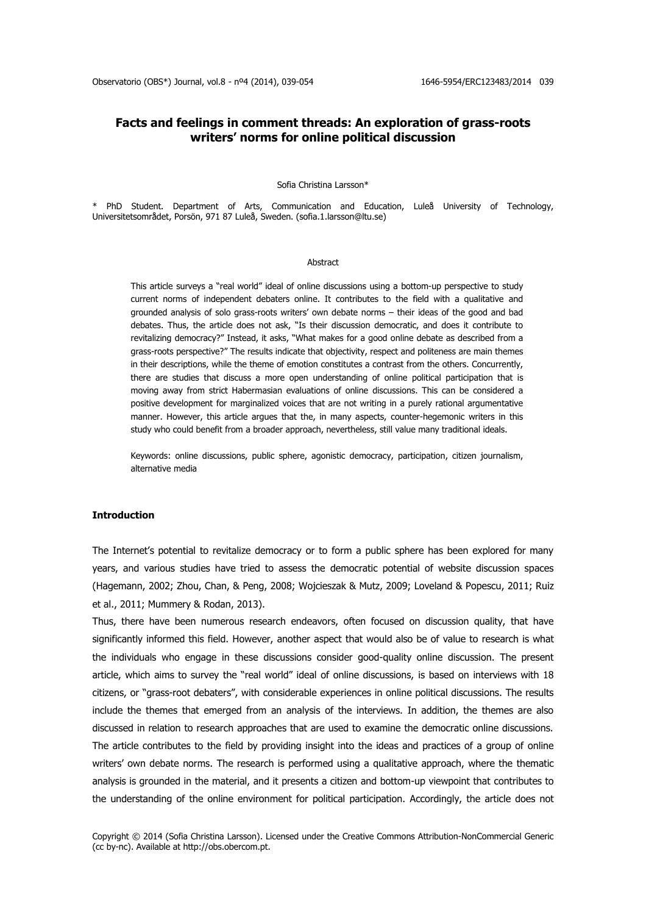# **Facts and feelings in comment threads: An exploration of grass-roots writers' norms for online political discussion**

#### Sofia Christina Larsson\*

\* PhD Student. Department of Arts, Communication and Education, Luleå University of Technology, Universitetsområdet, Porsön, 971 87 Luleå, Sweden. [\(sofia.1.larsson@ltu.se\)](mailto:sofia.1.larsson@ltu.se)

#### Abstract

This article surveys a "real world" ideal of online discussions using a bottom-up perspective to study current norms of independent debaters online. It contributes to the field with a qualitative and grounded analysis of solo grass-roots writers' own debate norms – their ideas of the good and bad debates. Thus, the article does not ask, "Is their discussion democratic, and does it contribute to revitalizing democracy?" Instead, it asks, "What makes for a good online debate as described from a grass-roots perspective?" The results indicate that objectivity, respect and politeness are main themes in their descriptions, while the theme of emotion constitutes a contrast from the others. Concurrently, there are studies that discuss a more open understanding of online political participation that is moving away from strict Habermasian evaluations of online discussions. This can be considered a positive development for marginalized voices that are not writing in a purely rational argumentative manner. However, this article argues that the, in many aspects, counter-hegemonic writers in this study who could benefit from a broader approach, nevertheless, still value many traditional ideals.

Keywords: online discussions, public sphere, agonistic democracy, participation, citizen journalism, alternative media

#### **Introduction**

The Internet's potential to revitalize democracy or to form a public sphere has been explored for many years, and various studies have tried to assess the democratic potential of website discussion spaces (Hagemann, 2002; Zhou, Chan, & Peng, 2008; Wojcieszak & Mutz, 2009; Loveland & Popescu, 2011; Ruiz et al., 2011; Mummery & Rodan, 2013).

Thus, there have been numerous research endeavors, often focused on discussion quality, that have significantly informed this field. However, another aspect that would also be of value to research is what the individuals who engage in these discussions consider good-quality online discussion. The present article, which aims to survey the "real world" ideal of online discussions, is based on interviews with 18 citizens, or "grass-root debaters", with considerable experiences in online political discussions. The results include the themes that emerged from an analysis of the interviews. In addition, the themes are also discussed in relation to research approaches that are used to examine the democratic online discussions. The article contributes to the field by providing insight into the ideas and practices of a group of online writers' own debate norms. The research is performed using a qualitative approach, where the thematic analysis is grounded in the material, and it presents a citizen and bottom-up viewpoint that contributes to the understanding of the online environment for political participation. Accordingly, the article does not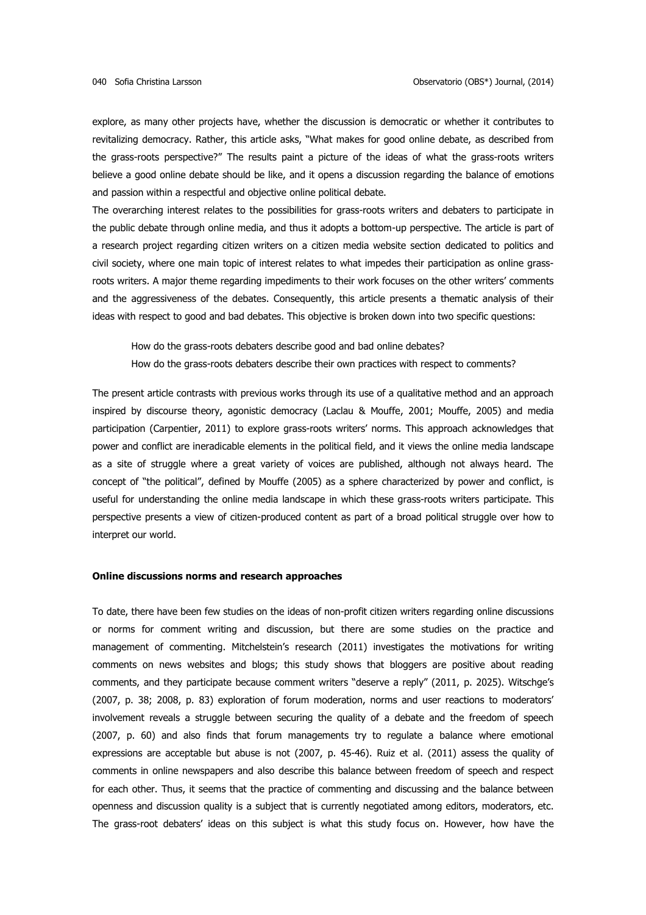explore, as many other projects have, whether the discussion is democratic or whether it contributes to revitalizing democracy. Rather, this article asks, "What makes for good online debate, as described from the grass-roots perspective?" The results paint a picture of the ideas of what the grass-roots writers believe a good online debate should be like, and it opens a discussion regarding the balance of emotions and passion within a respectful and objective online political debate.

The overarching interest relates to the possibilities for grass-roots writers and debaters to participate in the public debate through online media, and thus it adopts a bottom-up perspective. The article is part of a research project regarding citizen writers on a citizen media website section dedicated to politics and civil society, where one main topic of interest relates to what impedes their participation as online grassroots writers. A major theme regarding impediments to their work focuses on the other writers' comments and the aggressiveness of the debates. Consequently, this article presents a thematic analysis of their ideas with respect to good and bad debates. This objective is broken down into two specific questions:

How do the grass-roots debaters describe good and bad online debates? How do the grass-roots debaters describe their own practices with respect to comments?

The present article contrasts with previous works through its use of a qualitative method and an approach inspired by discourse theory, agonistic democracy (Laclau & Mouffe, 2001; Mouffe, 2005) and media participation (Carpentier, 2011) to explore grass-roots writers' norms. This approach acknowledges that power and conflict are ineradicable elements in the political field, and it views the online media landscape as a site of struggle where a great variety of voices are published, although not always heard. The concept of "the political", defined by Mouffe (2005) as a sphere characterized by power and conflict, is useful for understanding the online media landscape in which these grass-roots writers participate. This perspective presents a view of citizen-produced content as part of a broad political struggle over how to interpret our world.

# **Online discussions norms and research approaches**

To date, there have been few studies on the ideas of non-profit citizen writers regarding online discussions or norms for comment writing and discussion, but there are some studies on the practice and management of commenting. Mitchelstein's research (2011) investigates the motivations for writing comments on news websites and blogs; this study shows that bloggers are positive about reading comments, and they participate because comment writers "deserve a reply" (2011, p. 2025). Witschge's (2007, p. 38; 2008, p. 83) exploration of forum moderation, norms and user reactions to moderators' involvement reveals a struggle between securing the quality of a debate and the freedom of speech (2007, p. 60) and also finds that forum managements try to regulate a balance where emotional expressions are acceptable but abuse is not (2007, p. 45-46). Ruiz et al. (2011) assess the quality of comments in online newspapers and also describe this balance between freedom of speech and respect for each other. Thus, it seems that the practice of commenting and discussing and the balance between openness and discussion quality is a subject that is currently negotiated among editors, moderators, etc. The grass-root debaters' ideas on this subject is what this study focus on. However, how have the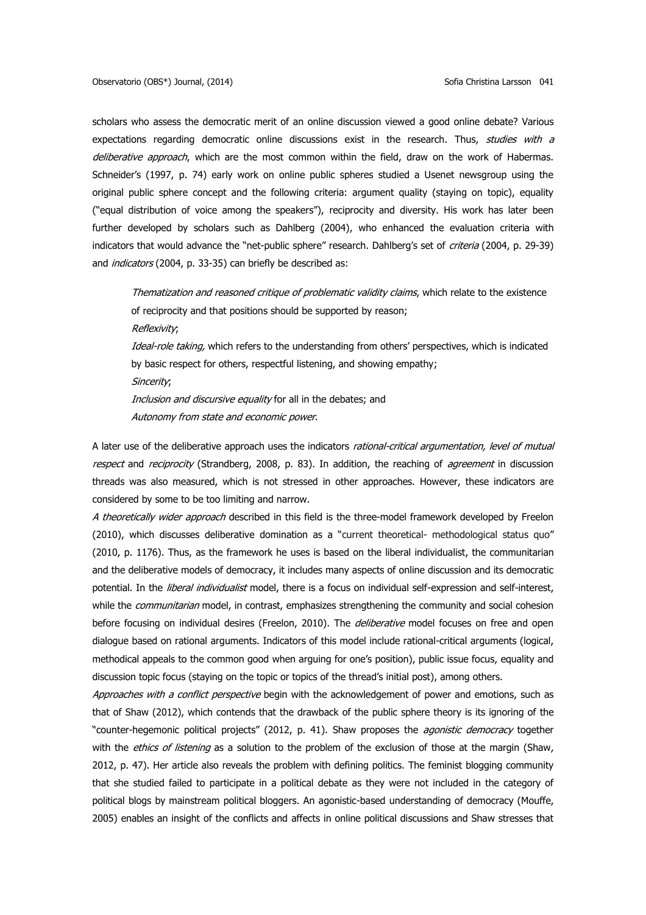scholars who assess the democratic merit of an online discussion viewed a good online debate? Various expectations regarding democratic online discussions exist in the research. Thus, studies with a deliberative approach, which are the most common within the field, draw on the work of Habermas. Schneider's (1997, p. 74) early work on online public spheres studied a Usenet newsgroup using the original public sphere concept and the following criteria: argument quality (staying on topic), equality ("equal distribution of voice among the speakers"), reciprocity and diversity. His work has later been further developed by scholars such as Dahlberg (2004), who enhanced the evaluation criteria with indicators that would advance the "net-public sphere" research. Dahlberg's set of criteria (2004, p. 29-39) and *indicators* (2004, p. 33-35) can briefly be described as:

Thematization and reasoned critique of problematic validity claims, which relate to the existence of reciprocity and that positions should be supported by reason;

Reflexivity;

Ideal-role taking, which refers to the understanding from others' perspectives, which is indicated by basic respect for others, respectful listening, and showing empathy;

Sincerity;

Inclusion and discursive equality for all in the debates; and Autonomy from state and economic power.

A later use of the deliberative approach uses the indicators rational-critical argumentation, level of mutual respect and reciprocity (Strandberg, 2008, p. 83). In addition, the reaching of *agreement* in discussion threads was also measured, which is not stressed in other approaches. However, these indicators are considered by some to be too limiting and narrow.

A theoretically wider approach described in this field is the three-model framework developed by Freelon (2010), which discusses deliberative domination as a "current theoretical- methodological status quo" (2010, p. 1176). Thus, as the framework he uses is based on the liberal individualist, the communitarian and the deliberative models of democracy, it includes many aspects of online discussion and its democratic potential. In the *liberal individualist* model, there is a focus on individual self-expression and self-interest, while the *communitarian* model, in contrast, emphasizes strengthening the community and social cohesion before focusing on individual desires (Freelon, 2010). The *deliberative* model focuses on free and open dialogue based on rational arguments. Indicators of this model include rational-critical arguments (logical, methodical appeals to the common good when arguing for one's position), public issue focus, equality and discussion topic focus (staying on the topic or topics of the thread's initial post), among others.

Approaches with a conflict perspective begin with the acknowledgement of power and emotions, such as that of Shaw (2012), which contends that the drawback of the public sphere theory is its ignoring of the "counter-hegemonic political projects" (2012, p. 41). Shaw proposes the *agonistic democracy* together with the *ethics of listening* as a solution to the problem of the exclusion of those at the margin (Shaw, 2012, p. 47). Her article also reveals the problem with defining politics. The feminist blogging community that she studied failed to participate in a political debate as they were not included in the category of political blogs by mainstream political bloggers. An agonistic-based understanding of democracy (Mouffe, 2005) enables an insight of the conflicts and affects in online political discussions and Shaw stresses that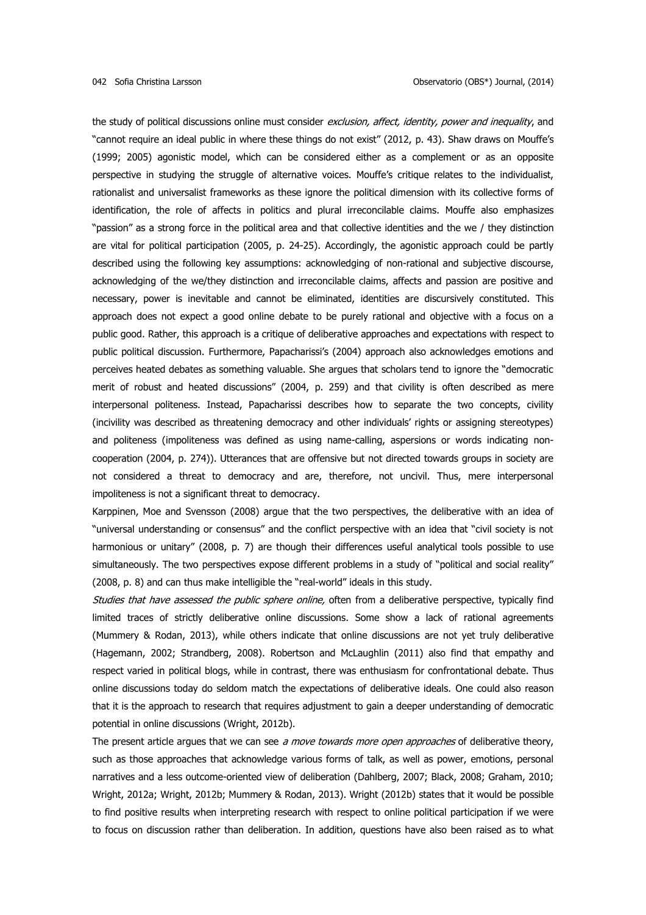the study of political discussions online must consider exclusion, affect, identity, power and inequality, and "cannot require an ideal public in where these things do not exist" (2012, p. 43). Shaw draws on Mouffe's (1999; 2005) agonistic model, which can be considered either as a complement or as an opposite perspective in studying the struggle of alternative voices. Mouffe's critique relates to the individualist, rationalist and universalist frameworks as these ignore the political dimension with its collective forms of identification, the role of affects in politics and plural irreconcilable claims. Mouffe also emphasizes "passion" as a strong force in the political area and that collective identities and the we / they distinction are vital for political participation (2005, p. 24-25). Accordingly, the agonistic approach could be partly described using the following key assumptions: acknowledging of non-rational and subjective discourse, acknowledging of the we/they distinction and irreconcilable claims, affects and passion are positive and necessary, power is inevitable and cannot be eliminated, identities are discursively constituted. This approach does not expect a good online debate to be purely rational and objective with a focus on a public good. Rather, this approach is a critique of deliberative approaches and expectations with respect to public political discussion. Furthermore, Papacharissi's (2004) approach also acknowledges emotions and perceives heated debates as something valuable. She argues that scholars tend to ignore the "democratic merit of robust and heated discussions" (2004, p. 259) and that civility is often described as mere interpersonal politeness. Instead, Papacharissi describes how to separate the two concepts, civility (incivility was described as threatening democracy and other individuals' rights or assigning stereotypes) and politeness (impoliteness was defined as using name-calling, aspersions or words indicating noncooperation (2004, p. 274)). Utterances that are offensive but not directed towards groups in society are not considered a threat to democracy and are, therefore, not uncivil. Thus, mere interpersonal impoliteness is not a significant threat to democracy.

Karppinen, Moe and Svensson (2008) argue that the two perspectives, the deliberative with an idea of "universal understanding or consensus" and the conflict perspective with an idea that "civil society is not harmonious or unitary" (2008, p. 7) are though their differences useful analytical tools possible to use simultaneously. The two perspectives expose different problems in a study of "political and social reality" (2008, p. 8) and can thus make intelligible the "real-world" ideals in this study.

Studies that have assessed the public sphere online, often from a deliberative perspective, typically find limited traces of strictly deliberative online discussions. Some show a lack of rational agreements (Mummery & Rodan, 2013), while others indicate that online discussions are not yet truly deliberative (Hagemann, 2002; Strandberg, 2008). Robertson and McLaughlin (2011) also find that empathy and respect varied in political blogs, while in contrast, there was enthusiasm for confrontational debate. Thus online discussions today do seldom match the expectations of deliberative ideals. One could also reason that it is the approach to research that requires adjustment to gain a deeper understanding of democratic potential in online discussions (Wright, 2012b).

The present article argues that we can see a move towards more open approaches of deliberative theory, such as those approaches that acknowledge various forms of talk, as well as power, emotions, personal narratives and a less outcome-oriented view of deliberation (Dahlberg, 2007; Black, 2008; Graham, 2010; Wright, 2012a; Wright, 2012b; Mummery & Rodan, 2013). Wright (2012b) states that it would be possible to find positive results when interpreting research with respect to online political participation if we were to focus on discussion rather than deliberation. In addition, questions have also been raised as to what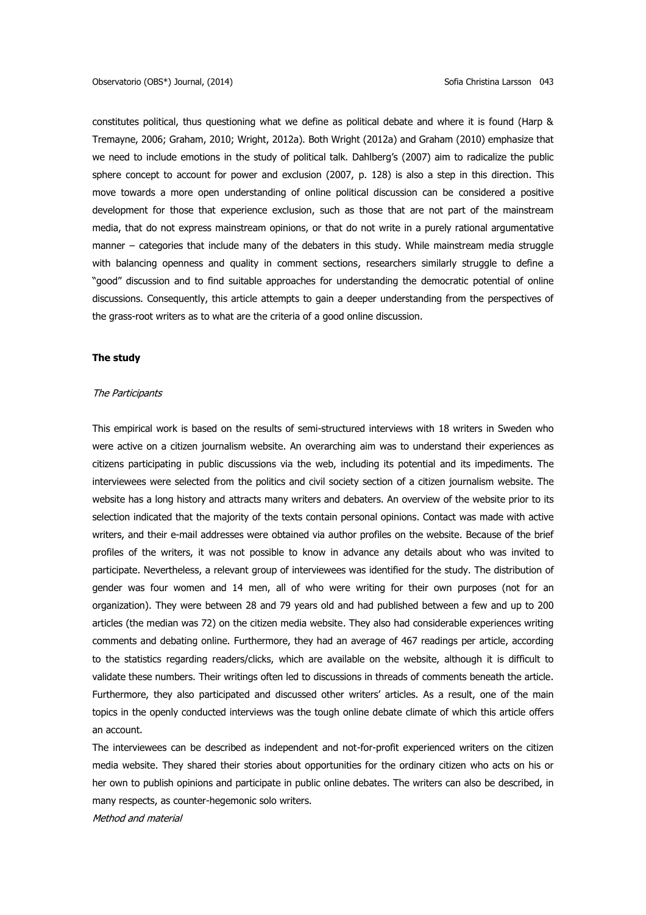constitutes political, thus questioning what we define as political debate and where it is found (Harp & Tremayne, 2006; Graham, 2010; Wright, 2012a). Both Wright (2012a) and Graham (2010) emphasize that we need to include emotions in the study of political talk. Dahlberg's (2007) aim to radicalize the public sphere concept to account for power and exclusion (2007, p. 128) is also a step in this direction. This move towards a more open understanding of online political discussion can be considered a positive development for those that experience exclusion, such as those that are not part of the mainstream media, that do not express mainstream opinions, or that do not write in a purely rational argumentative manner – categories that include many of the debaters in this study. While mainstream media struggle with balancing openness and quality in comment sections, researchers similarly struggle to define a "good" discussion and to find suitable approaches for understanding the democratic potential of online discussions. Consequently, this article attempts to gain a deeper understanding from the perspectives of the grass-root writers as to what are the criteria of a good online discussion.

### **The study**

#### The Participants

This empirical work is based on the results of semi-structured interviews with 18 writers in Sweden who were active on a citizen journalism website. An overarching aim was to understand their experiences as citizens participating in public discussions via the web, including its potential and its impediments. The interviewees were selected from the politics and civil society section of a citizen journalism website. The website has a long history and attracts many writers and debaters. An overview of the website prior to its selection indicated that the majority of the texts contain personal opinions. Contact was made with active writers, and their e-mail addresses were obtained via author profiles on the website. Because of the brief profiles of the writers, it was not possible to know in advance any details about who was invited to participate. Nevertheless, a relevant group of interviewees was identified for the study. The distribution of gender was four women and 14 men, all of who were writing for their own purposes (not for an organization). They were between 28 and 79 years old and had published between a few and up to 200 articles (the median was 72) on the citizen media website. They also had considerable experiences writing comments and debating online. Furthermore, they had an average of 467 readings per article, according to the statistics regarding readers/clicks, which are available on the website, although it is difficult to validate these numbers. Their writings often led to discussions in threads of comments beneath the article. Furthermore, they also participated and discussed other writers' articles. As a result, one of the main topics in the openly conducted interviews was the tough online debate climate of which this article offers an account.

The interviewees can be described as independent and not-for-profit experienced writers on the citizen media website. They shared their stories about opportunities for the ordinary citizen who acts on his or her own to publish opinions and participate in public online debates. The writers can also be described, in many respects, as counter-hegemonic solo writers.

Method and material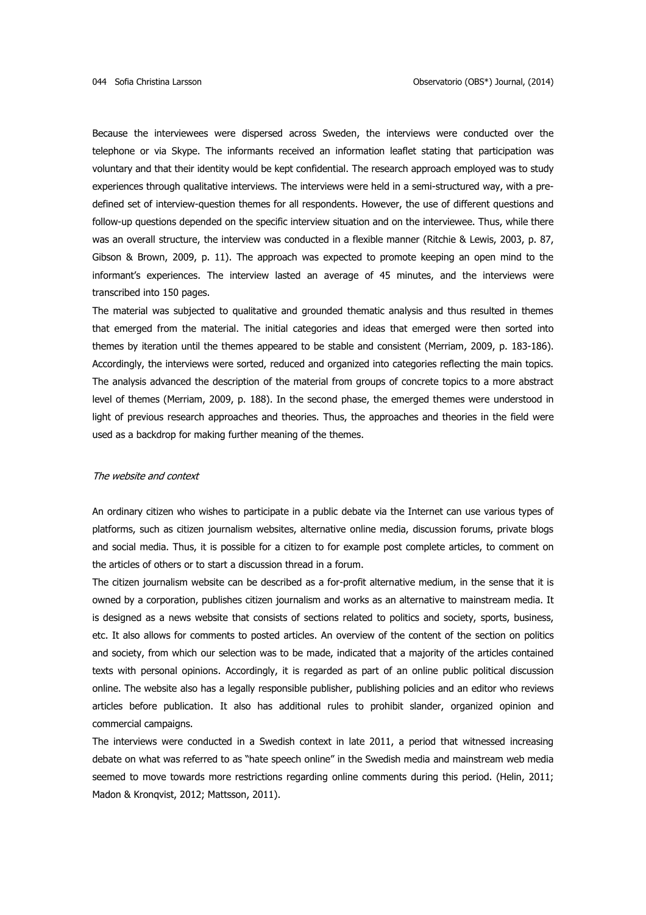Because the interviewees were dispersed across Sweden, the interviews were conducted over the telephone or via Skype. The informants received an information leaflet stating that participation was voluntary and that their identity would be kept confidential. The research approach employed was to study experiences through qualitative interviews. The interviews were held in a semi-structured way, with a predefined set of interview-question themes for all respondents. However, the use of different questions and follow-up questions depended on the specific interview situation and on the interviewee. Thus, while there was an overall structure, the interview was conducted in a flexible manner (Ritchie & Lewis, 2003, p. 87, Gibson & Brown, 2009, p. 11). The approach was expected to promote keeping an open mind to the informant's experiences. The interview lasted an average of 45 minutes, and the interviews were transcribed into 150 pages.

The material was subjected to qualitative and grounded thematic analysis and thus resulted in themes that emerged from the material. The initial categories and ideas that emerged were then sorted into themes by iteration until the themes appeared to be stable and consistent (Merriam, 2009, p. 183-186). Accordingly, the interviews were sorted, reduced and organized into categories reflecting the main topics. The analysis advanced the description of the material from groups of concrete topics to a more abstract level of themes (Merriam, 2009, p. 188). In the second phase, the emerged themes were understood in light of previous research approaches and theories. Thus, the approaches and theories in the field were used as a backdrop for making further meaning of the themes.

#### The website and context

An ordinary citizen who wishes to participate in a public debate via the Internet can use various types of platforms, such as citizen journalism websites, alternative online media, discussion forums, private blogs and social media. Thus, it is possible for a citizen to for example post complete articles, to comment on the articles of others or to start a discussion thread in a forum.

The citizen journalism website can be described as a for-profit alternative medium, in the sense that it is owned by a corporation, publishes citizen journalism and works as an alternative to mainstream media. It is designed as a news website that consists of sections related to politics and society, sports, business, etc. It also allows for comments to posted articles. An overview of the content of the section on politics and society, from which our selection was to be made, indicated that a majority of the articles contained texts with personal opinions. Accordingly, it is regarded as part of an online public political discussion online. The website also has a legally responsible publisher, publishing policies and an editor who reviews articles before publication. It also has additional rules to prohibit slander, organized opinion and commercial campaigns.

The interviews were conducted in a Swedish context in late 2011, a period that witnessed increasing debate on what was referred to as "hate speech online" in the Swedish media and mainstream web media seemed to move towards more restrictions regarding online comments during this period. (Helin, 2011; Madon & Kronqvist, 2012; Mattsson, 2011).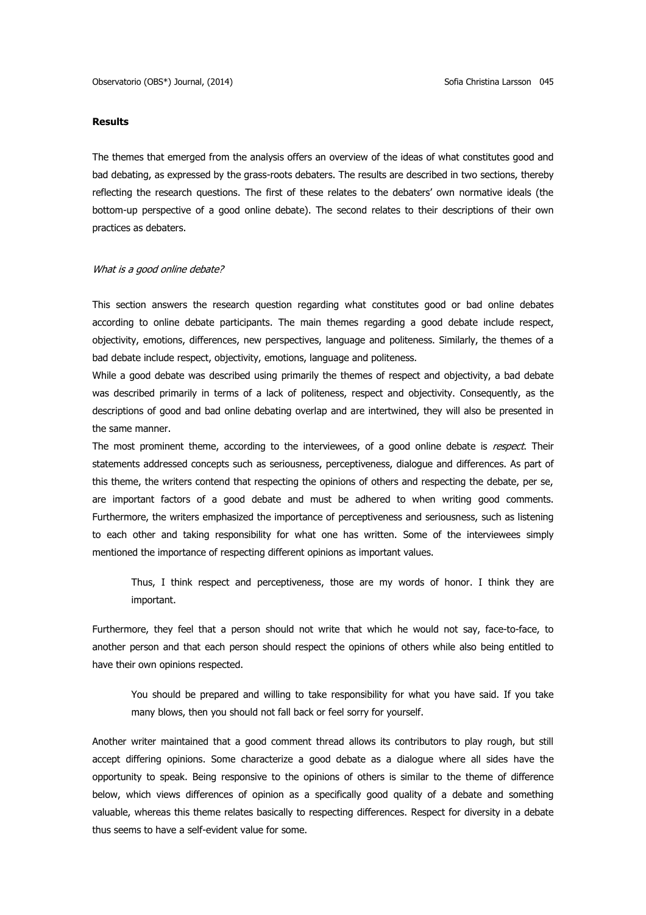### **Results**

The themes that emerged from the analysis offers an overview of the ideas of what constitutes good and bad debating, as expressed by the grass-roots debaters. The results are described in two sections, thereby reflecting the research questions. The first of these relates to the debaters' own normative ideals (the bottom-up perspective of a good online debate). The second relates to their descriptions of their own practices as debaters.

## What is a good online debate?

This section answers the research question regarding what constitutes good or bad online debates according to online debate participants. The main themes regarding a good debate include respect, objectivity, emotions, differences, new perspectives, language and politeness. Similarly, the themes of a bad debate include respect, objectivity, emotions, language and politeness.

While a good debate was described using primarily the themes of respect and objectivity, a bad debate was described primarily in terms of a lack of politeness, respect and objectivity. Consequently, as the descriptions of good and bad online debating overlap and are intertwined, they will also be presented in the same manner.

The most prominent theme, according to the interviewees, of a good online debate is respect. Their statements addressed concepts such as seriousness, perceptiveness, dialogue and differences. As part of this theme, the writers contend that respecting the opinions of others and respecting the debate, per se, are important factors of a good debate and must be adhered to when writing good comments. Furthermore, the writers emphasized the importance of perceptiveness and seriousness, such as listening to each other and taking responsibility for what one has written. Some of the interviewees simply mentioned the importance of respecting different opinions as important values.

Thus, I think respect and perceptiveness, those are my words of honor. I think they are important.

Furthermore, they feel that a person should not write that which he would not say, face-to-face, to another person and that each person should respect the opinions of others while also being entitled to have their own opinions respected.

You should be prepared and willing to take responsibility for what you have said. If you take many blows, then you should not fall back or feel sorry for yourself.

Another writer maintained that a good comment thread allows its contributors to play rough, but still accept differing opinions. Some characterize a good debate as a dialogue where all sides have the opportunity to speak. Being responsive to the opinions of others is similar to the theme of difference below, which views differences of opinion as a specifically good quality of a debate and something valuable, whereas this theme relates basically to respecting differences. Respect for diversity in a debate thus seems to have a self-evident value for some.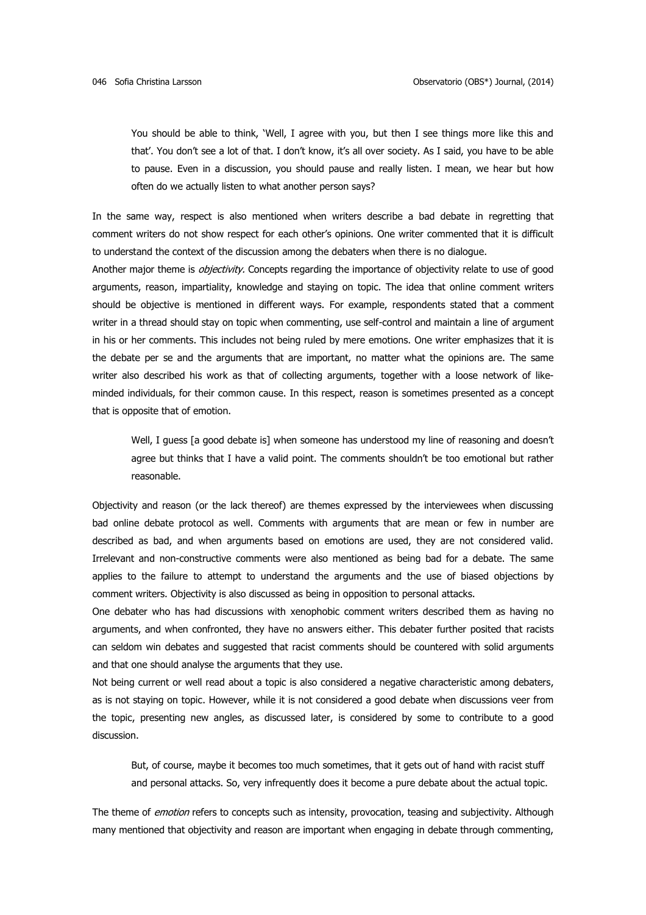You should be able to think, 'Well, I agree with you, but then I see things more like this and that'. You don't see a lot of that. I don't know, it's all over society. As I said, you have to be able to pause. Even in a discussion, you should pause and really listen. I mean, we hear but how often do we actually listen to what another person says?

In the same way, respect is also mentioned when writers describe a bad debate in regretting that comment writers do not show respect for each other's opinions. One writer commented that it is difficult to understand the context of the discussion among the debaters when there is no dialogue.

Another major theme is *objectivity*. Concepts regarding the importance of objectivity relate to use of good arguments, reason, impartiality, knowledge and staying on topic. The idea that online comment writers should be objective is mentioned in different ways. For example, respondents stated that a comment writer in a thread should stay on topic when commenting, use self-control and maintain a line of argument in his or her comments. This includes not being ruled by mere emotions. One writer emphasizes that it is the debate per se and the arguments that are important, no matter what the opinions are. The same writer also described his work as that of collecting arguments, together with a loose network of likeminded individuals, for their common cause. In this respect, reason is sometimes presented as a concept that is opposite that of emotion.

Well, I guess [a good debate is] when someone has understood my line of reasoning and doesn't agree but thinks that I have a valid point. The comments shouldn't be too emotional but rather reasonable.

Objectivity and reason (or the lack thereof) are themes expressed by the interviewees when discussing bad online debate protocol as well. Comments with arguments that are mean or few in number are described as bad, and when arguments based on emotions are used, they are not considered valid. Irrelevant and non-constructive comments were also mentioned as being bad for a debate. The same applies to the failure to attempt to understand the arguments and the use of biased objections by comment writers. Objectivity is also discussed as being in opposition to personal attacks.

One debater who has had discussions with xenophobic comment writers described them as having no arguments, and when confronted, they have no answers either. This debater further posited that racists can seldom win debates and suggested that racist comments should be countered with solid arguments and that one should analyse the arguments that they use.

Not being current or well read about a topic is also considered a negative characteristic among debaters, as is not staying on topic. However, while it is not considered a good debate when discussions veer from the topic, presenting new angles, as discussed later, is considered by some to contribute to a good discussion.

But, of course, maybe it becomes too much sometimes, that it gets out of hand with racist stuff and personal attacks. So, very infrequently does it become a pure debate about the actual topic.

The theme of *emotion* refers to concepts such as intensity, provocation, teasing and subjectivity. Although many mentioned that objectivity and reason are important when engaging in debate through commenting,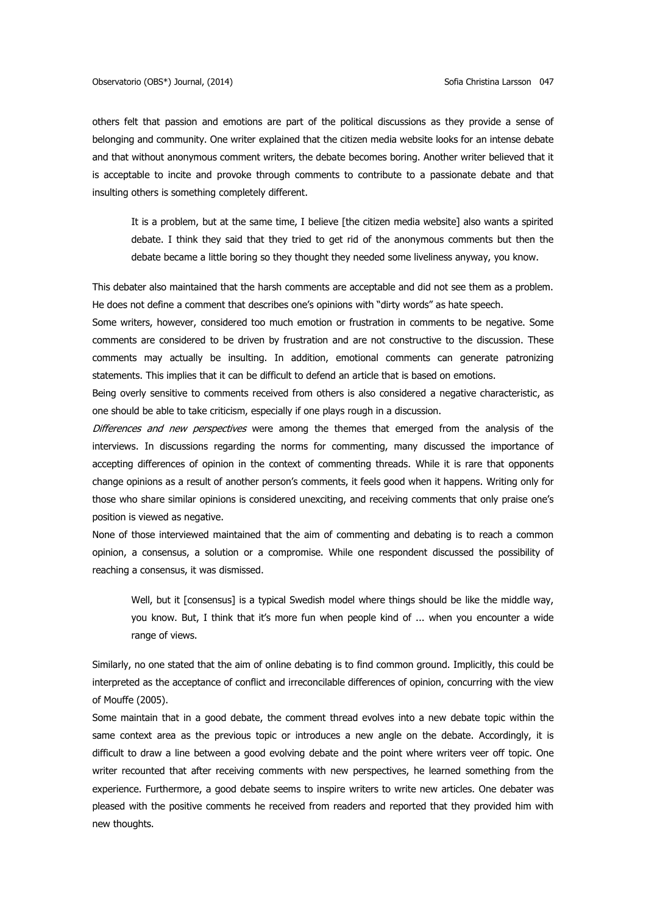others felt that passion and emotions are part of the political discussions as they provide a sense of belonging and community. One writer explained that the citizen media website looks for an intense debate and that without anonymous comment writers, the debate becomes boring. Another writer believed that it is acceptable to incite and provoke through comments to contribute to a passionate debate and that insulting others is something completely different.

It is a problem, but at the same time, I believe [the citizen media website] also wants a spirited debate. I think they said that they tried to get rid of the anonymous comments but then the debate became a little boring so they thought they needed some liveliness anyway, you know.

This debater also maintained that the harsh comments are acceptable and did not see them as a problem. He does not define a comment that describes one's opinions with "dirty words" as hate speech.

Some writers, however, considered too much emotion or frustration in comments to be negative. Some comments are considered to be driven by frustration and are not constructive to the discussion. These comments may actually be insulting. In addition, emotional comments can generate patronizing statements. This implies that it can be difficult to defend an article that is based on emotions.

Being overly sensitive to comments received from others is also considered a negative characteristic, as one should be able to take criticism, especially if one plays rough in a discussion.

Differences and new perspectives were among the themes that emerged from the analysis of the interviews. In discussions regarding the norms for commenting, many discussed the importance of accepting differences of opinion in the context of commenting threads. While it is rare that opponents change opinions as a result of another person's comments, it feels good when it happens. Writing only for those who share similar opinions is considered unexciting, and receiving comments that only praise one's position is viewed as negative.

None of those interviewed maintained that the aim of commenting and debating is to reach a common opinion, a consensus, a solution or a compromise. While one respondent discussed the possibility of reaching a consensus, it was dismissed.

Well, but it [consensus] is a typical Swedish model where things should be like the middle way, you know. But, I think that it's more fun when people kind of ... when you encounter a wide range of views.

Similarly, no one stated that the aim of online debating is to find common ground. Implicitly, this could be interpreted as the acceptance of conflict and irreconcilable differences of opinion, concurring with the view of Mouffe (2005).

Some maintain that in a good debate, the comment thread evolves into a new debate topic within the same context area as the previous topic or introduces a new angle on the debate. Accordingly, it is difficult to draw a line between a good evolving debate and the point where writers veer off topic. One writer recounted that after receiving comments with new perspectives, he learned something from the experience. Furthermore, a good debate seems to inspire writers to write new articles. One debater was pleased with the positive comments he received from readers and reported that they provided him with new thoughts.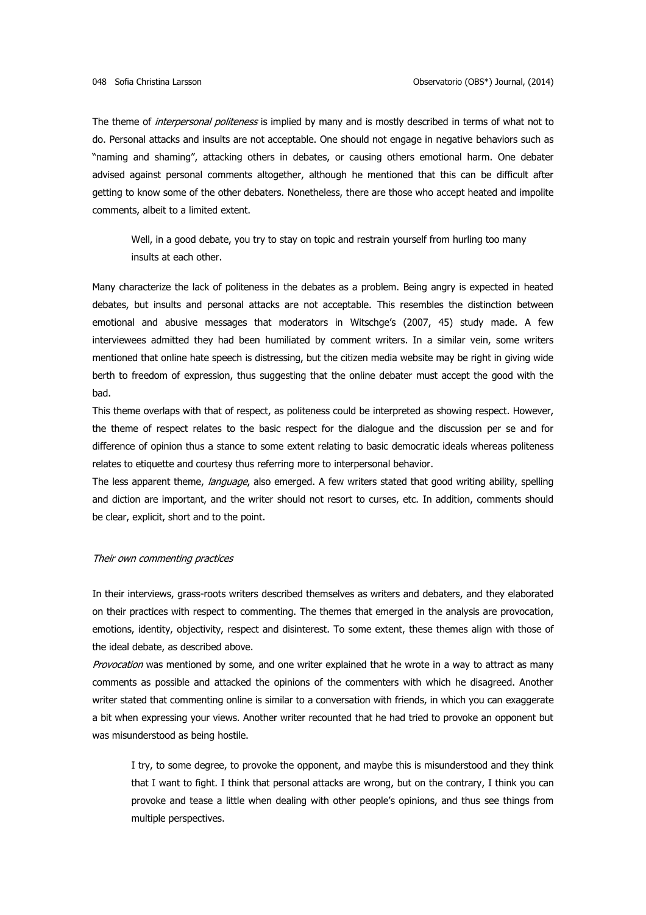The theme of *interpersonal politeness* is implied by many and is mostly described in terms of what not to do. Personal attacks and insults are not acceptable. One should not engage in negative behaviors such as "naming and shaming", attacking others in debates, or causing others emotional harm. One debater advised against personal comments altogether, although he mentioned that this can be difficult after getting to know some of the other debaters. Nonetheless, there are those who accept heated and impolite comments, albeit to a limited extent.

Well, in a good debate, you try to stay on topic and restrain yourself from hurling too many insults at each other.

Many characterize the lack of politeness in the debates as a problem. Being angry is expected in heated debates, but insults and personal attacks are not acceptable. This resembles the distinction between emotional and abusive messages that moderators in Witschge's (2007, 45) study made. A few interviewees admitted they had been humiliated by comment writers. In a similar vein, some writers mentioned that online hate speech is distressing, but the citizen media website may be right in giving wide berth to freedom of expression, thus suggesting that the online debater must accept the good with the bad.

This theme overlaps with that of respect, as politeness could be interpreted as showing respect. However, the theme of respect relates to the basic respect for the dialogue and the discussion per se and for difference of opinion thus a stance to some extent relating to basic democratic ideals whereas politeness relates to etiquette and courtesy thus referring more to interpersonal behavior.

The less apparent theme, language, also emerged. A few writers stated that good writing ability, spelling and diction are important, and the writer should not resort to curses, etc. In addition, comments should be clear, explicit, short and to the point.

### Their own commenting practices

In their interviews, grass-roots writers described themselves as writers and debaters, and they elaborated on their practices with respect to commenting. The themes that emerged in the analysis are provocation, emotions, identity, objectivity, respect and disinterest. To some extent, these themes align with those of the ideal debate, as described above.

Provocation was mentioned by some, and one writer explained that he wrote in a way to attract as many comments as possible and attacked the opinions of the commenters with which he disagreed. Another writer stated that commenting online is similar to a conversation with friends, in which you can exaggerate a bit when expressing your views. Another writer recounted that he had tried to provoke an opponent but was misunderstood as being hostile.

I try, to some degree, to provoke the opponent, and maybe this is misunderstood and they think that I want to fight. I think that personal attacks are wrong, but on the contrary, I think you can provoke and tease a little when dealing with other people's opinions, and thus see things from multiple perspectives.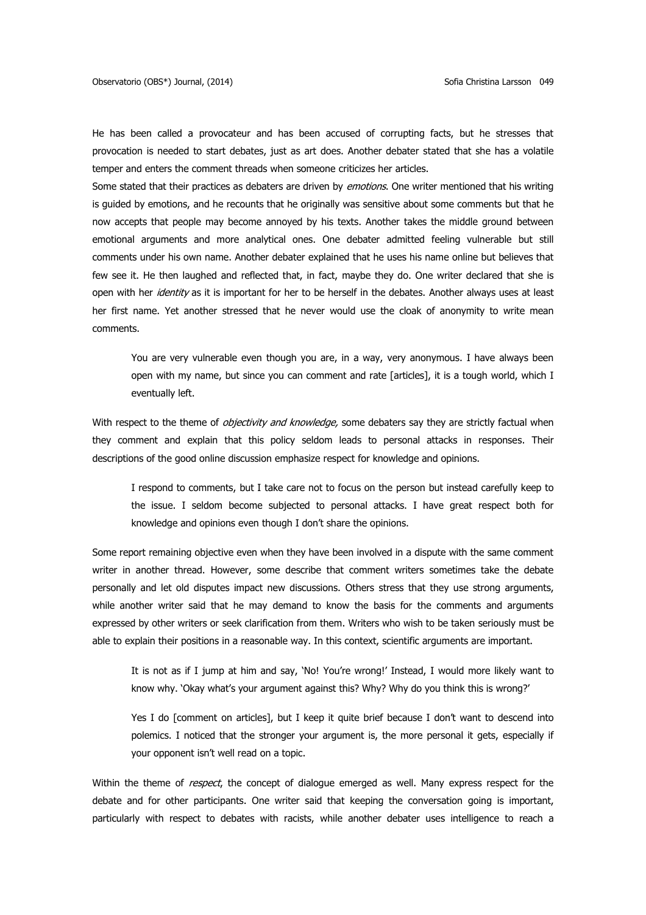He has been called a provocateur and has been accused of corrupting facts, but he stresses that provocation is needed to start debates, just as art does. Another debater stated that she has a volatile temper and enters the comment threads when someone criticizes her articles.

Some stated that their practices as debaters are driven by *emotions*. One writer mentioned that his writing is guided by emotions, and he recounts that he originally was sensitive about some comments but that he now accepts that people may become annoyed by his texts. Another takes the middle ground between emotional arguments and more analytical ones. One debater admitted feeling vulnerable but still comments under his own name. Another debater explained that he uses his name online but believes that few see it. He then laughed and reflected that, in fact, maybe they do. One writer declared that she is open with her *identity* as it is important for her to be herself in the debates. Another always uses at least her first name. Yet another stressed that he never would use the cloak of anonymity to write mean comments.

You are very vulnerable even though you are, in a way, very anonymous. I have always been open with my name, but since you can comment and rate [articles], it is a tough world, which I eventually left.

With respect to the theme of *objectivity and knowledge,* some debaters say they are strictly factual when they comment and explain that this policy seldom leads to personal attacks in responses. Their descriptions of the good online discussion emphasize respect for knowledge and opinions.

I respond to comments, but I take care not to focus on the person but instead carefully keep to the issue. I seldom become subjected to personal attacks. I have great respect both for knowledge and opinions even though I don't share the opinions.

Some report remaining objective even when they have been involved in a dispute with the same comment writer in another thread. However, some describe that comment writers sometimes take the debate personally and let old disputes impact new discussions. Others stress that they use strong arguments, while another writer said that he may demand to know the basis for the comments and arguments expressed by other writers or seek clarification from them. Writers who wish to be taken seriously must be able to explain their positions in a reasonable way. In this context, scientific arguments are important.

It is not as if I jump at him and say, 'No! You're wrong!' Instead, I would more likely want to know why. 'Okay what's your argument against this? Why? Why do you think this is wrong?'

Yes I do [comment on articles], but I keep it quite brief because I don't want to descend into polemics. I noticed that the stronger your argument is, the more personal it gets, especially if your opponent isn't well read on a topic.

Within the theme of *respect*, the concept of dialogue emerged as well. Many express respect for the debate and for other participants. One writer said that keeping the conversation going is important, particularly with respect to debates with racists, while another debater uses intelligence to reach a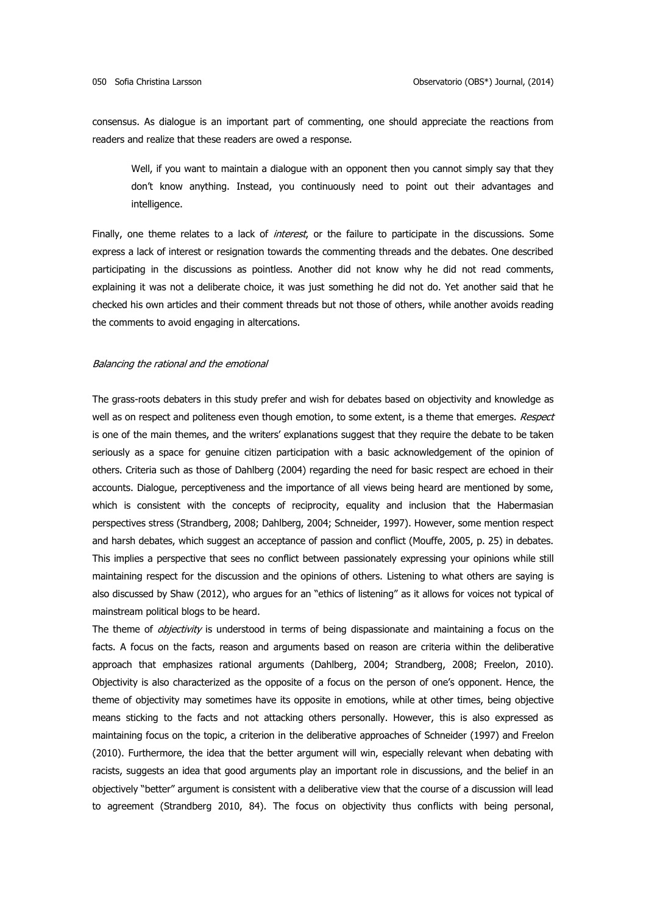consensus. As dialogue is an important part of commenting, one should appreciate the reactions from readers and realize that these readers are owed a response.

Well, if you want to maintain a dialogue with an opponent then you cannot simply say that they don't know anything. Instead, you continuously need to point out their advantages and intelligence.

Finally, one theme relates to a lack of *interest*, or the failure to participate in the discussions. Some express a lack of interest or resignation towards the commenting threads and the debates. One described participating in the discussions as pointless. Another did not know why he did not read comments, explaining it was not a deliberate choice, it was just something he did not do. Yet another said that he checked his own articles and their comment threads but not those of others, while another avoids reading the comments to avoid engaging in altercations.

#### Balancing the rational and the emotional

The grass-roots debaters in this study prefer and wish for debates based on objectivity and knowledge as well as on respect and politeness even though emotion, to some extent, is a theme that emerges. Respect is one of the main themes, and the writers' explanations suggest that they require the debate to be taken seriously as a space for genuine citizen participation with a basic acknowledgement of the opinion of others. Criteria such as those of Dahlberg (2004) regarding the need for basic respect are echoed in their accounts. Dialogue, perceptiveness and the importance of all views being heard are mentioned by some, which is consistent with the concepts of reciprocity, equality and inclusion that the Habermasian perspectives stress (Strandberg, 2008; Dahlberg, 2004; Schneider, 1997). However, some mention respect and harsh debates, which suggest an acceptance of passion and conflict (Mouffe, 2005, p. 25) in debates. This implies a perspective that sees no conflict between passionately expressing your opinions while still maintaining respect for the discussion and the opinions of others. Listening to what others are saying is also discussed by Shaw (2012), who argues for an "ethics of listening" as it allows for voices not typical of mainstream political blogs to be heard.

The theme of *objectivity* is understood in terms of being dispassionate and maintaining a focus on the facts. A focus on the facts, reason and arguments based on reason are criteria within the deliberative approach that emphasizes rational arguments (Dahlberg, 2004; Strandberg, 2008; Freelon, 2010). Objectivity is also characterized as the opposite of a focus on the person of one's opponent. Hence, the theme of objectivity may sometimes have its opposite in emotions, while at other times, being objective means sticking to the facts and not attacking others personally. However, this is also expressed as maintaining focus on the topic, a criterion in the deliberative approaches of Schneider (1997) and Freelon (2010). Furthermore, the idea that the better argument will win, especially relevant when debating with racists, suggests an idea that good arguments play an important role in discussions, and the belief in an objectively "better" argument is consistent with a deliberative view that the course of a discussion will lead to agreement (Strandberg 2010, 84). The focus on objectivity thus conflicts with being personal,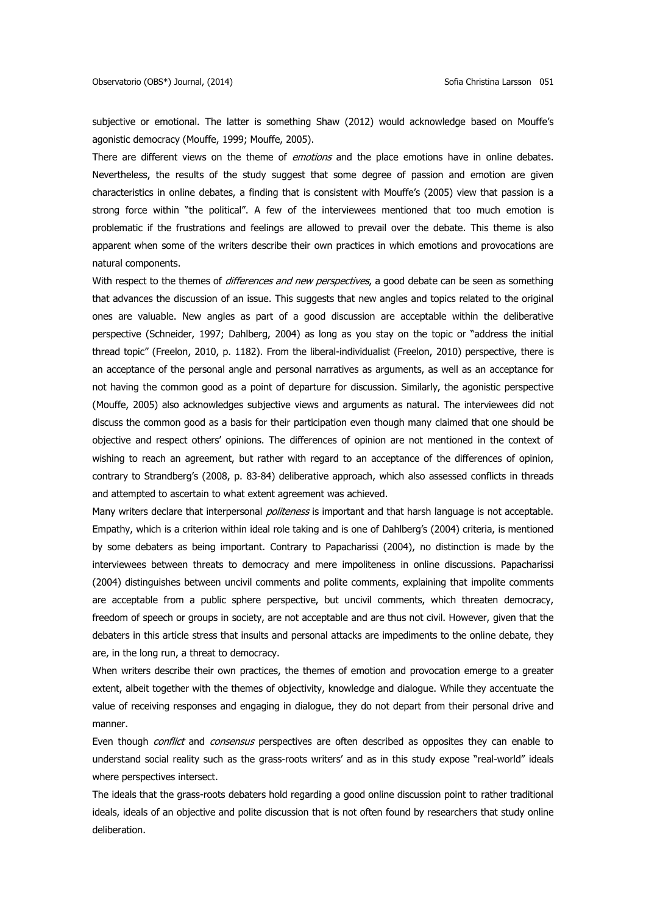subjective or emotional. The latter is something Shaw (2012) would acknowledge based on Mouffe's agonistic democracy (Mouffe, 1999; Mouffe, 2005).

There are different views on the theme of emotions and the place emotions have in online debates. Nevertheless, the results of the study suggest that some degree of passion and emotion are given characteristics in online debates, a finding that is consistent with Mouffe's (2005) view that passion is a strong force within "the political". A few of the interviewees mentioned that too much emotion is problematic if the frustrations and feelings are allowed to prevail over the debate. This theme is also apparent when some of the writers describe their own practices in which emotions and provocations are natural components.

With respect to the themes of *differences and new perspectives*, a good debate can be seen as something that advances the discussion of an issue. This suggests that new angles and topics related to the original ones are valuable. New angles as part of a good discussion are acceptable within the deliberative perspective (Schneider, 1997; Dahlberg, 2004) as long as you stay on the topic or "address the initial thread topic" (Freelon, 2010, p. 1182). From the liberal-individualist (Freelon, 2010) perspective, there is an acceptance of the personal angle and personal narratives as arguments, as well as an acceptance for not having the common good as a point of departure for discussion. Similarly, the agonistic perspective (Mouffe, 2005) also acknowledges subjective views and arguments as natural. The interviewees did not discuss the common good as a basis for their participation even though many claimed that one should be objective and respect others' opinions. The differences of opinion are not mentioned in the context of wishing to reach an agreement, but rather with regard to an acceptance of the differences of opinion, contrary to Strandberg's (2008, p. 83-84) deliberative approach, which also assessed conflicts in threads and attempted to ascertain to what extent agreement was achieved.

Many writers declare that interpersonal *politeness* is important and that harsh language is not acceptable. Empathy, which is a criterion within ideal role taking and is one of Dahlberg's (2004) criteria, is mentioned by some debaters as being important. Contrary to Papacharissi (2004), no distinction is made by the interviewees between threats to democracy and mere impoliteness in online discussions. Papacharissi (2004) distinguishes between uncivil comments and polite comments, explaining that impolite comments are acceptable from a public sphere perspective, but uncivil comments, which threaten democracy, freedom of speech or groups in society, are not acceptable and are thus not civil. However, given that the debaters in this article stress that insults and personal attacks are impediments to the online debate, they are, in the long run, a threat to democracy.

When writers describe their own practices, the themes of emotion and provocation emerge to a greater extent, albeit together with the themes of objectivity, knowledge and dialogue. While they accentuate the value of receiving responses and engaging in dialogue, they do not depart from their personal drive and manner.

Even though *conflict* and *consensus* perspectives are often described as opposites they can enable to understand social reality such as the grass-roots writers' and as in this study expose "real-world" ideals where perspectives intersect.

The ideals that the grass-roots debaters hold regarding a good online discussion point to rather traditional ideals, ideals of an objective and polite discussion that is not often found by researchers that study online deliberation.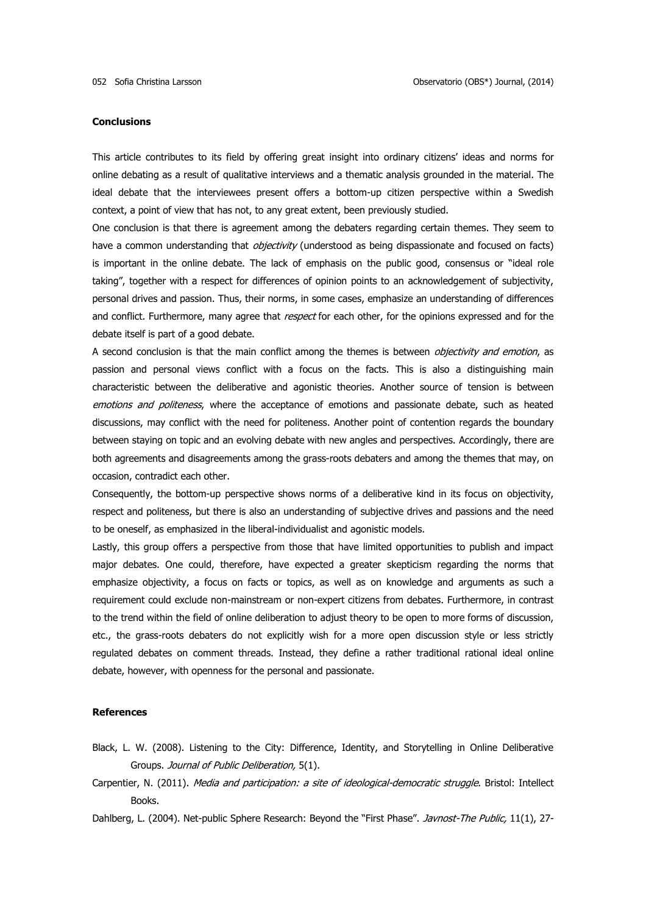### **Conclusions**

This article contributes to its field by offering great insight into ordinary citizens' ideas and norms for online debating as a result of qualitative interviews and a thematic analysis grounded in the material. The ideal debate that the interviewees present offers a bottom-up citizen perspective within a Swedish context, a point of view that has not, to any great extent, been previously studied.

One conclusion is that there is agreement among the debaters regarding certain themes. They seem to have a common understanding that *objectivity* (understood as being dispassionate and focused on facts) is important in the online debate. The lack of emphasis on the public good, consensus or "ideal role taking", together with a respect for differences of opinion points to an acknowledgement of subjectivity, personal drives and passion. Thus, their norms, in some cases, emphasize an understanding of differences and conflict. Furthermore, many agree that *respect* for each other, for the opinions expressed and for the debate itself is part of a good debate.

A second conclusion is that the main conflict among the themes is between *objectivity and emotion*, as passion and personal views conflict with a focus on the facts. This is also a distinguishing main characteristic between the deliberative and agonistic theories. Another source of tension is between emotions and politeness, where the acceptance of emotions and passionate debate, such as heated discussions, may conflict with the need for politeness. Another point of contention regards the boundary between staying on topic and an evolving debate with new angles and perspectives. Accordingly, there are both agreements and disagreements among the grass-roots debaters and among the themes that may, on occasion, contradict each other.

Consequently, the bottom-up perspective shows norms of a deliberative kind in its focus on objectivity, respect and politeness, but there is also an understanding of subjective drives and passions and the need to be oneself, as emphasized in the liberal-individualist and agonistic models.

Lastly, this group offers a perspective from those that have limited opportunities to publish and impact major debates. One could, therefore, have expected a greater skepticism regarding the norms that emphasize objectivity, a focus on facts or topics, as well as on knowledge and arguments as such a requirement could exclude non-mainstream or non-expert citizens from debates. Furthermore, in contrast to the trend within the field of online deliberation to adjust theory to be open to more forms of discussion, etc., the grass-roots debaters do not explicitly wish for a more open discussion style or less strictly regulated debates on comment threads. Instead, they define a rather traditional rational ideal online debate, however, with openness for the personal and passionate.

### **References**

- Black, L. W. (2008). Listening to the City: Difference, Identity, and Storytelling in Online Deliberative Groups. Journal of Public Deliberation, 5(1).
- Carpentier, N. (2011). Media and participation: a site of ideological-democratic struggle. Bristol: Intellect Books.
- Dahlberg, L. (2004). Net-public Sphere Research: Beyond the "First Phase". Javnost-The Public, 11(1), 27-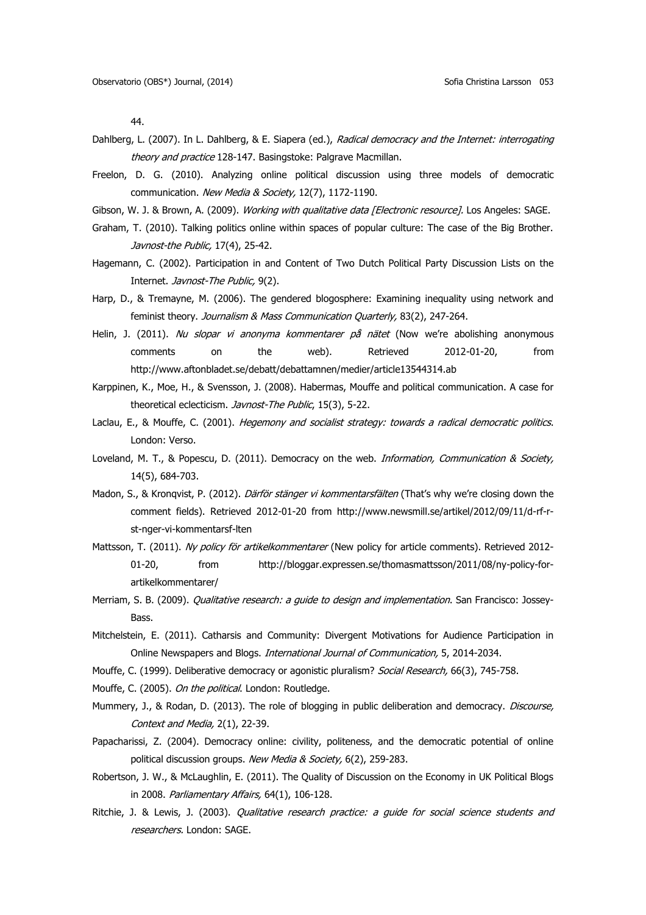44.

- Dahlberg, L. (2007). In L. Dahlberg, & E. Siapera (ed.), Radical democracy and the Internet: interrogating theory and practice 128-147. Basingstoke: Palgrave Macmillan.
- Freelon, D. G. (2010). Analyzing online political discussion using three models of democratic communication. New Media & Society, 12(7), 1172-1190.
- Gibson, W. J. & Brown, A. (2009). Working with qualitative data [Electronic resource]. Los Angeles: SAGE.
- Graham, T. (2010). Talking politics online within spaces of popular culture: The case of the Big Brother. Javnost-the Public, 17(4), 25-42.
- Hagemann, C. (2002). Participation in and Content of Two Dutch Political Party Discussion Lists on the Internet. Javnost-The Public, 9(2).
- Harp, D., & Tremayne, M. (2006). The gendered blogosphere: Examining inequality using network and feminist theory. Journalism & Mass Communication Quarterly, 83(2), 247-264.
- Helin, J. (2011). Nu slopar vi anonyma kommentarer på nätet (Now we're abolishing anonymous comments on the web). Retrieved 2012-01-20, from <http://www.aftonbladet.se/debatt/debattamnen/medier/article13544314.ab>
- Karppinen, K., Moe, H., & Svensson, J. (2008). Habermas, Mouffe and political communication. A case for theoretical eclecticism. Javnost-The Public, 15(3), 5-22.
- Laclau, E., & Mouffe, C. (2001). Hegemony and socialist strategy: towards a radical democratic politics. London: Verso.
- Loveland, M. T., & Popescu, D. (2011). Democracy on the web. Information, Communication & Society, 14(5), 684-703.
- Madon, S., & Kronqvist, P. (2012). Därför stänger vi kommentarsfälten (That's why we're closing down the comment fields). Retrieved 2012-01-20 from [http://www.newsmill.se/artikel/2012/09/11/d-rf-r](http://www.newsmill.se/artikel/2012/09/11/d-rf-r-st-nger-vi-kommentarsf-lten)[st-nger-vi-kommentarsf-lten](http://www.newsmill.se/artikel/2012/09/11/d-rf-r-st-nger-vi-kommentarsf-lten)
- Mattsson, T. (2011). Ny policy för artikelkommentarer (New policy for article comments). Retrieved 2012-01-20, from [http://bloggar.expressen.se/thomasmattsson/2011/08/ny-policy-for](http://bloggar.expressen.se/thomasmattsson/2011/08/ny-policy-for-artikelkommentarer/)[artikelkommentarer/](http://bloggar.expressen.se/thomasmattsson/2011/08/ny-policy-for-artikelkommentarer/)
- Merriam, S. B. (2009). *Qualitative research: a guide to design and implementation*. San Francisco: Jossey-Bass.
- Mitchelstein, E. (2011). Catharsis and Community: Divergent Motivations for Audience Participation in Online Newspapers and Blogs. International Journal of Communication, 5, 2014-2034.
- Mouffe, C. (1999). Deliberative democracy or agonistic pluralism? Social Research, 66(3), 745-758.
- Mouffe, C. (2005). On the political. London: Routledge.
- Mummery, J., & Rodan, D. (2013). The role of blogging in public deliberation and democracy. *Discourse,* Context and Media, 2(1), 22-39.
- Papacharissi, Z. (2004). Democracy online: civility, politeness, and the democratic potential of online political discussion groups. New Media & Society, 6(2), 259-283.
- Robertson, J. W., & McLaughlin, E. (2011). The Quality of Discussion on the Economy in UK Political Blogs in 2008. Parliamentary Affairs, 64(1), 106-128.
- Ritchie, J. & Lewis, J. (2003). Qualitative research practice: a guide for social science students and researchers. London: SAGE.